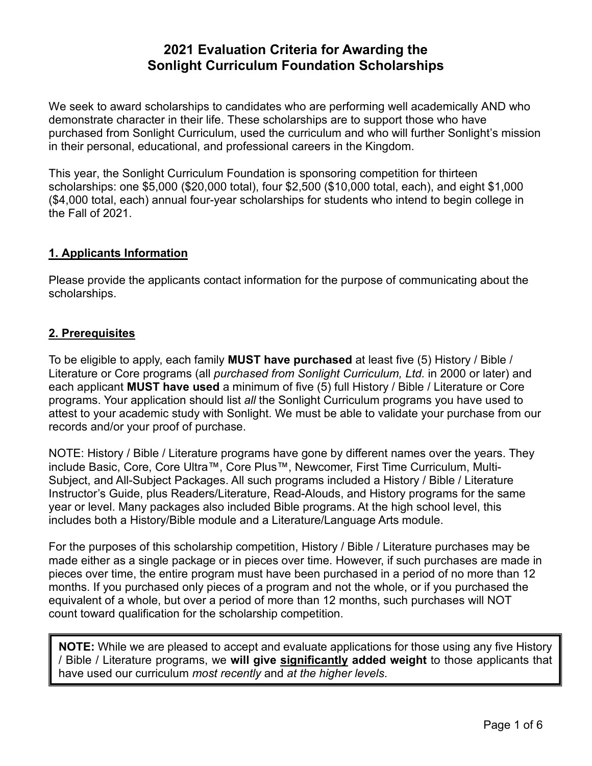# **2021 Evaluation Criteria for Awarding the Sonlight Curriculum Foundation Scholarships**

We seek to award scholarships to candidates who are performing well academically AND who demonstrate character in their life. These scholarships are to support those who have purchased from Sonlight Curriculum, used the curriculum and who will further Sonlight's mission in their personal, educational, and professional careers in the Kingdom.

This year, the Sonlight Curriculum Foundation is sponsoring competition for thirteen scholarships: one \$5,000 (\$20,000 total), four \$2,500 (\$10,000 total, each), and eight \$1,000 (\$4,000 total, each) annual four-year scholarships for students who intend to begin college in the Fall of 2021.

#### **1. Applicants Information**

Please provide the applicants contact information for the purpose of communicating about the scholarships.

## **2. Prerequisites**

To be eligible to apply, each family **MUST have purchased** at least five (5) History / Bible / Literature or Core programs (all *purchased from Sonlight Curriculum, Ltd.* in 2000 or later) and each applicant **MUST have used** a minimum of five (5) full History / Bible / Literature or Core programs. Your application should list *all* the Sonlight Curriculum programs you have used to attest to your academic study with Sonlight. We must be able to validate your purchase from our records and/or your proof of purchase.

NOTE: History / Bible / Literature programs have gone by different names over the years. They include Basic, Core, Core Ultra™, Core Plus™, Newcomer, First Time Curriculum, Multi-Subject, and All-Subject Packages. All such programs included a History / Bible / Literature Instructor's Guide, plus Readers/Literature, Read-Alouds, and History programs for the same year or level. Many packages also included Bible programs. At the high school level, this includes both a History/Bible module and a Literature/Language Arts module.

For the purposes of this scholarship competition, History / Bible / Literature purchases may be made either as a single package or in pieces over time. However, if such purchases are made in pieces over time, the entire program must have been purchased in a period of no more than 12 months. If you purchased only pieces of a program and not the whole, or if you purchased the equivalent of a whole, but over a period of more than 12 months, such purchases will NOT count toward qualification for the scholarship competition.

**NOTE:** While we are pleased to accept and evaluate applications for those using any five History / Bible / Literature programs, we **will give significantly added weight** to those applicants that have used our curriculum *most recently* and *at the higher levels*.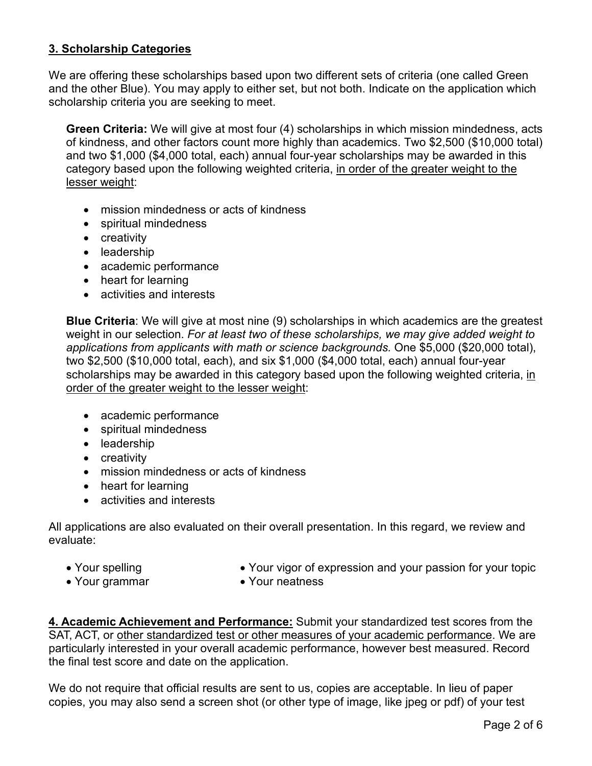### **3. Scholarship Categories**

We are offering these scholarships based upon two different sets of criteria (one called Green and the other Blue). You may apply to either set, but not both. Indicate on the application which scholarship criteria you are seeking to meet.

**Green Criteria:** We will give at most four (4) scholarships in which mission mindedness, acts of kindness, and other factors count more highly than academics. Two \$2,500 (\$10,000 total) and two \$1,000 (\$4,000 total, each) annual four-year scholarships may be awarded in this category based upon the following weighted criteria, in order of the greater weight to the lesser weight:

- mission mindedness or acts of kindness
- spiritual mindedness
- creativity
- leadership
- academic performance
- heart for learning
- activities and interests

**Blue Criteria**: We will give at most nine (9) scholarships in which academics are the greatest weight in our selection. *For at least two of these scholarships, we may give added weight to applications from applicants with math or science backgrounds.* One \$5,000 (\$20,000 total), two \$2,500 (\$10,000 total, each), and six \$1,000 (\$4,000 total, each) annual four-year scholarships may be awarded in this category based upon the following weighted criteria, in order of the greater weight to the lesser weight:

- academic performance
- spiritual mindedness
- leadership
- creativity
- mission mindedness or acts of kindness
- heart for learning
- activities and interests

All applications are also evaluated on their overall presentation. In this regard, we review and evaluate:

• Your spelling

- Your vigor of expression and your passion for your topic
- Your grammar
- Your neatness

**4. Academic Achievement and Performance:** Submit your standardized test scores from the SAT, ACT, or other standardized test or other measures of your academic performance. We are particularly interested in your overall academic performance, however best measured. Record the final test score and date on the application.

We do not require that official results are sent to us, copies are acceptable. In lieu of paper copies, you may also send a screen shot (or other type of image, like jpeg or pdf) of your test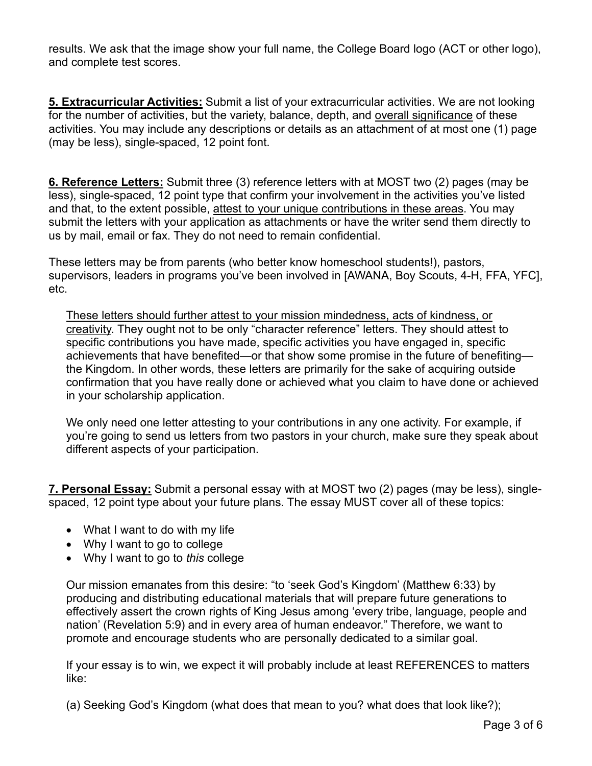results. We ask that the image show your full name, the College Board logo (ACT or other logo), and complete test scores.

**5. Extracurricular Activities:** Submit a list of your extracurricular activities. We are not looking for the number of activities, but the variety, balance, depth, and overall significance of these activities. You may include any descriptions or details as an attachment of at most one (1) page (may be less), single-spaced, 12 point font.

**6. Reference Letters:** Submit three (3) reference letters with at MOST two (2) pages (may be less), single-spaced, 12 point type that confirm your involvement in the activities you've listed and that, to the extent possible, attest to your unique contributions in these areas. You may submit the letters with your application as attachments or have the writer send them directly to us by mail, email or fax. They do not need to remain confidential.

These letters may be from parents (who better know homeschool students!), pastors, supervisors, leaders in programs you've been involved in [AWANA, Boy Scouts, 4-H, FFA, YFC], etc.

These letters should further attest to your mission mindedness, acts of kindness, or creativity. They ought not to be only "character reference" letters. They should attest to specific contributions you have made, specific activities you have engaged in, specific achievements that have benefited—or that show some promise in the future of benefiting the Kingdom. In other words, these letters are primarily for the sake of acquiring outside confirmation that you have really done or achieved what you claim to have done or achieved in your scholarship application.

We only need one letter attesting to your contributions in any one activity. For example, if you're going to send us letters from two pastors in your church, make sure they speak about different aspects of your participation.

**7. Personal Essay:** Submit a personal essay with at MOST two (2) pages (may be less), singlespaced, 12 point type about your future plans. The essay MUST cover all of these topics:

- What I want to do with my life
- Why I want to go to college
- Why I want to go to *this* college

Our mission emanates from this desire: "to 'seek God's Kingdom' (Matthew 6:33) by producing and distributing educational materials that will prepare future generations to effectively assert the crown rights of King Jesus among 'every tribe, language, people and nation' (Revelation 5:9) and in every area of human endeavor." Therefore, we want to promote and encourage students who are personally dedicated to a similar goal.

If your essay is to win, we expect it will probably include at least REFERENCES to matters like:

(a) Seeking God's Kingdom (what does that mean to you? what does that look like?);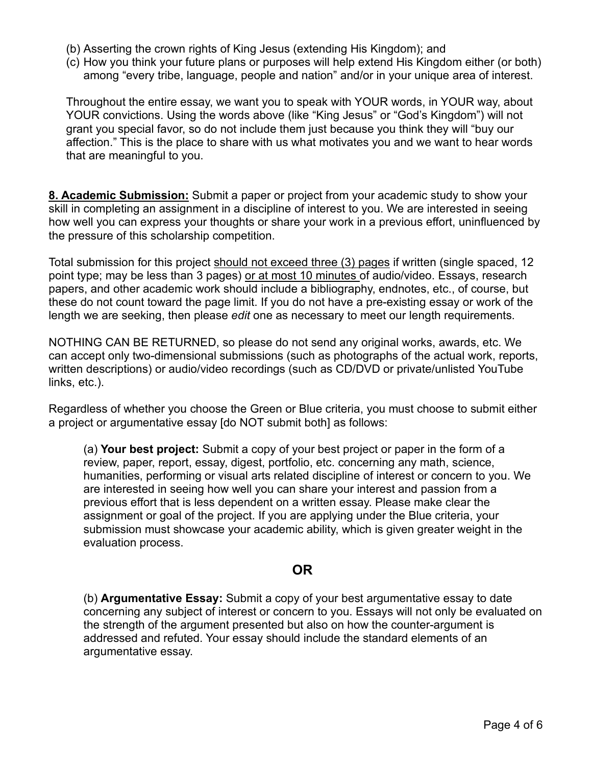- (b) Asserting the crown rights of King Jesus (extending His Kingdom); and
- (c) How you think your future plans or purposes will help extend His Kingdom either (or both) among "every tribe, language, people and nation" and/or in your unique area of interest.

Throughout the entire essay, we want you to speak with YOUR words, in YOUR way, about YOUR convictions. Using the words above (like "King Jesus" or "God's Kingdom") will not grant you special favor, so do not include them just because you think they will "buy our affection." This is the place to share with us what motivates you and we want to hear words that are meaningful to you.

**8. Academic Submission:** Submit a paper or project from your academic study to show your skill in completing an assignment in a discipline of interest to you. We are interested in seeing how well you can express your thoughts or share your work in a previous effort, uninfluenced by the pressure of this scholarship competition.

Total submission for this project should not exceed three (3) pages if written (single spaced, 12 point type; may be less than 3 pages) or at most 10 minutes of audio/video. Essays, research papers, and other academic work should include a bibliography, endnotes, etc., of course, but these do not count toward the page limit. If you do not have a pre-existing essay or work of the length we are seeking, then please *edit* one as necessary to meet our length requirements.

NOTHING CAN BE RETURNED, so please do not send any original works, awards, etc. We can accept only two-dimensional submissions (such as photographs of the actual work, reports, written descriptions) or audio/video recordings (such as CD/DVD or private/unlisted YouTube links, etc.).

Regardless of whether you choose the Green or Blue criteria, you must choose to submit either a project or argumentative essay [do NOT submit both] as follows:

(a) **Your best project:** Submit a copy of your best project or paper in the form of a review, paper, report, essay, digest, portfolio, etc. concerning any math, science, humanities, performing or visual arts related discipline of interest or concern to you. We are interested in seeing how well you can share your interest and passion from a previous effort that is less dependent on a written essay. Please make clear the assignment or goal of the project. If you are applying under the Blue criteria, your submission must showcase your academic ability, which is given greater weight in the evaluation process.

# **OR**

(b) **Argumentative Essay:** Submit a copy of your best argumentative essay to date concerning any subject of interest or concern to you. Essays will not only be evaluated on the strength of the argument presented but also on how the counter-argument is addressed and refuted. Your essay should include the standard elements of an argumentative essay.